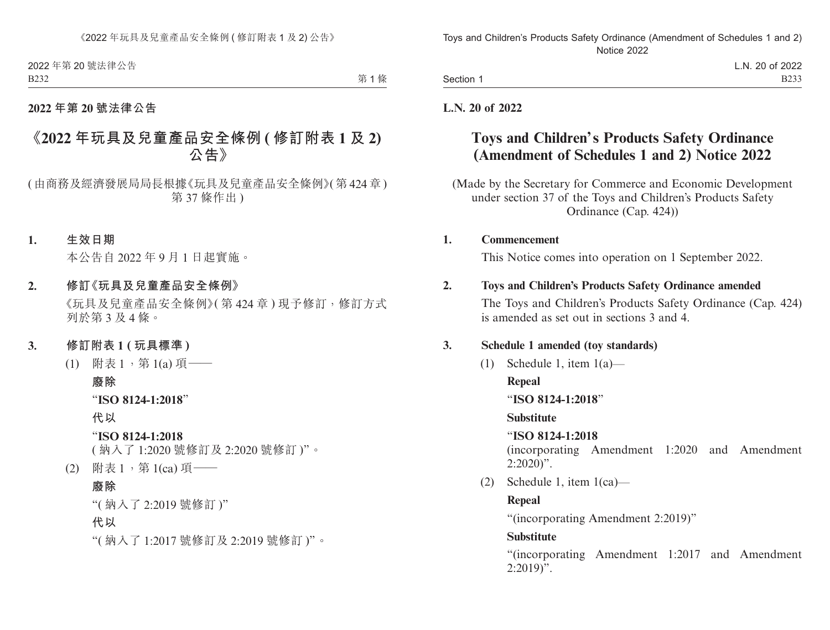|  | Section 1 |  |
|--|-----------|--|
|--|-----------|--|

L.N. 20 of 2022 B233

### **L.N. 20 of 2022**

# **Toys and Children's Products Safety Ordinance (Amendment of Schedules 1 and 2) Notice 2022**

(Made by the Secretary for Commerce and Economic Development under section 37 of the Toys and Children's Products Safety Ordinance (Cap. 424))

### **1. Commencement**

This Notice comes into operation on 1 September 2022.

### **2. Toys and Children's Products Safety Ordinance amended**

The Toys and Children's Products Safety Ordinance (Cap. 424) is amended as set out in sections 3 and 4.

## **3. Schedule 1 amended (toy standards)**

(1) Schedule 1, item  $1(a)$ —

**Repeal**

"**ISO 8124-1:2018**"

**Substitute**

"**ISO 8124-1:2018**

(incorporating Amendment 1:2020 and Amendment  $2:2020$ ".

(2) Schedule 1, item 1(ca)—

## **Repeal**

"(incorporating Amendment 2:2019)"

## **Substitute**

"(incorporating Amendment 1:2017 and Amendment  $2:2019$ ".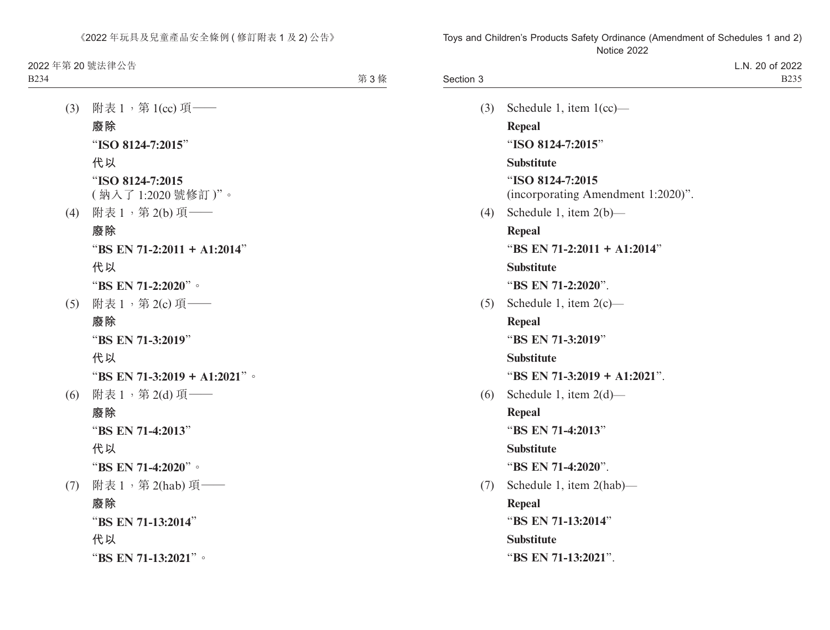| Section 3 |                                    | L.N. 20 of 2022<br><b>B235</b> |
|-----------|------------------------------------|--------------------------------|
| (3)       | Schedule 1, item $1$ (cc)—         |                                |
|           | <b>Repeal</b>                      |                                |
|           | "ISO 8124-7:2015"                  |                                |
|           | <b>Substitute</b>                  |                                |
|           | "ISO 8124-7:2015                   |                                |
|           | (incorporating Amendment 1:2020)". |                                |
| (4)       | Schedule 1, item $2(b)$ —          |                                |
|           | Repeal                             |                                |
|           | "BS EN 71-2:2011 + A1:2014"        |                                |
|           | <b>Substitute</b>                  |                                |
|           | "BS EN 71-2:2020".                 |                                |
| (5)       | Schedule 1, item $2(c)$ —          |                                |
|           | <b>Repeal</b>                      |                                |
|           | "BS EN 71-3:2019"                  |                                |
|           | <b>Substitute</b>                  |                                |
|           | "BS EN 71-3:2019 + A1:2021".       |                                |
| (6)       | Schedule 1, item $2(d)$ —          |                                |
|           | Repeal                             |                                |
|           | "BS EN 71-4:2013"                  |                                |
|           | <b>Substitute</b>                  |                                |
|           | "BS EN 71-4:2020".                 |                                |
| (7)       | Schedule 1, item 2(hab)—           |                                |
|           | <b>Repeal</b>                      |                                |
|           | "BS EN 71-13:2014"                 |                                |
|           | <b>Substitute</b>                  |                                |
|           | "BS EN 71-13:2021".                |                                |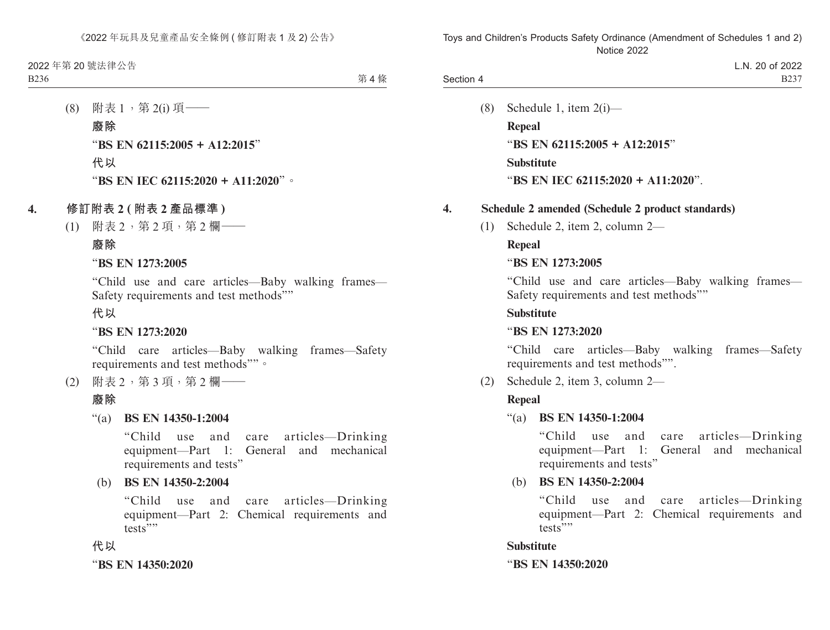|           | of 2022<br>20<br>L.N.                   |
|-----------|-----------------------------------------|
| Section 4 | $\mathbf{a}\mathbf{a}\mathbf{a}$<br>D∠J |

(8) Schedule 1, item 2(i)— **Repeal** "**BS EN 62115:2005 + A12:2015**" **Substitute** "**BS EN IEC 62115:2020 + A11:2020**".

### **4. Schedule 2 amended (Schedule 2 product standards)**

(1) Schedule 2, item 2, column 2—

### **Repeal**

### "**BS EN 1273:2005**

"Child use and care articles—Baby walking frames— Safety requirements and test methods""

### **Substitute**

### "**BS EN 1273:2020**

"Child care articles—Baby walking frames—Safety requirements and test methods"".

(2) Schedule 2, item 3, column 2—

## **Repeal**

"(a) **BS EN 14350-1:2004**

"Child use and care articles—Drinking equipment—Part 1: General and mechanical requirements and tests"

(b) **BS EN 14350-2:2004**

"Child use and care articles—Drinking equipment—Part 2: Chemical requirements and tests""

### **Substitute**

"**BS EN 14350:2020**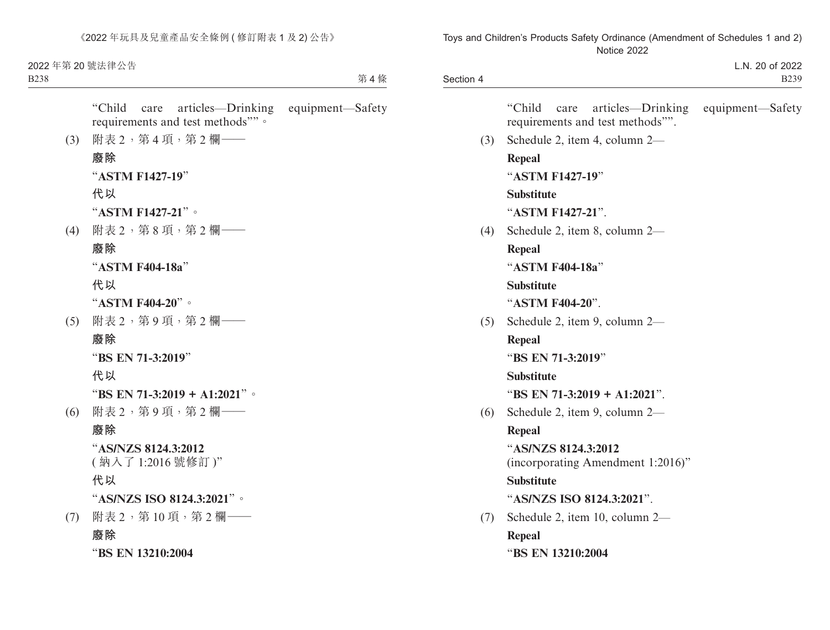| Section 4 |                                                                         | L.N. 20 of 2022<br><b>B239</b> |
|-----------|-------------------------------------------------------------------------|--------------------------------|
|           | "Child<br>articles—Drinking<br>care<br>requirements and test methods"". | equipment—Safety               |
| (3)       | Schedule 2, item 4, column 2-                                           |                                |
|           | <b>Repeal</b>                                                           |                                |
|           | "ASTM F1427-19"                                                         |                                |
|           | <b>Substitute</b>                                                       |                                |
|           | "ASTM F1427-21".                                                        |                                |
| (4)       | Schedule 2, item 8, column 2-                                           |                                |
|           | <b>Repeal</b>                                                           |                                |
|           | "ASTM F404-18a"                                                         |                                |
|           | <b>Substitute</b>                                                       |                                |
|           | "ASTM F404-20".                                                         |                                |
| (5)       | Schedule 2, item 9, column 2—                                           |                                |
|           | Repeal                                                                  |                                |
|           | "BS EN 71-3:2019"                                                       |                                |
|           | <b>Substitute</b>                                                       |                                |
|           | "BS EN 71-3:2019 + A1:2021".                                            |                                |
| (6)       | Schedule 2, item 9, column 2-                                           |                                |
|           | <b>Repeal</b>                                                           |                                |
|           | "AS/NZS 8124.3:2012<br>(incorporating Amendment 1:2016)"                |                                |
|           | <b>Substitute</b>                                                       |                                |
|           | "AS/NZS ISO 8124.3:2021".                                               |                                |
| (7)       | Schedule 2, item 10, column 2-                                          |                                |
|           | <b>Repeal</b>                                                           |                                |
|           | "BS EN 13210:2004                                                       |                                |
|           |                                                                         |                                |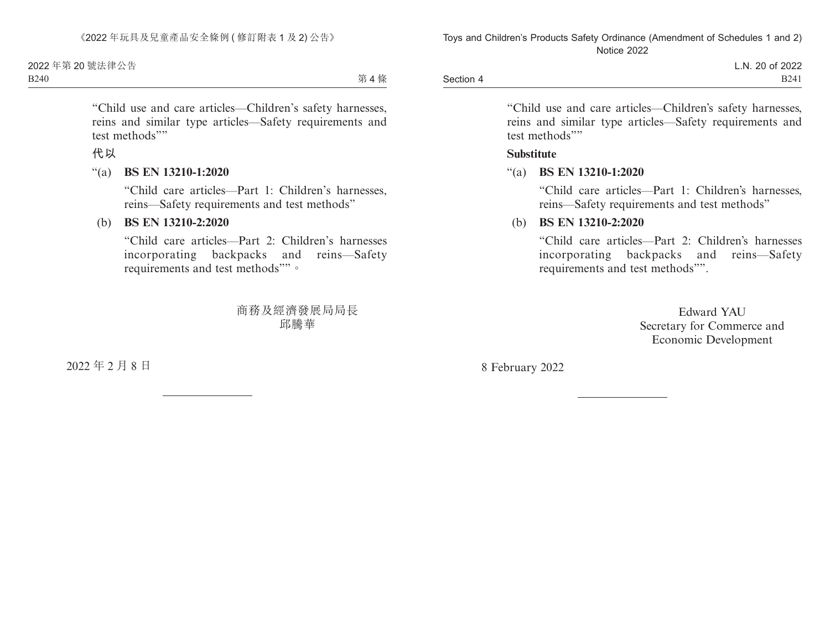|           | L.N. 20 of 2022 |
|-----------|-----------------|
| Section 4 | <b>B241</b>     |

"Child use and care articles—Children's safety harnesses, reins and similar type articles—Safety requirements and test methods""

#### **Substitute**

#### "(a) **BS EN 13210-1:2020**

"Child care articles—Part 1: Children's harnesses, reins—Safety requirements and test methods"

## (b) **BS EN 13210-2:2020**

"Child care articles—Part 2: Children's harnesses incorporating backpacks and reins—Safety requirements and test methods"".

> Edward YAU Secretary for Commerce and Economic Development

8 February 2022